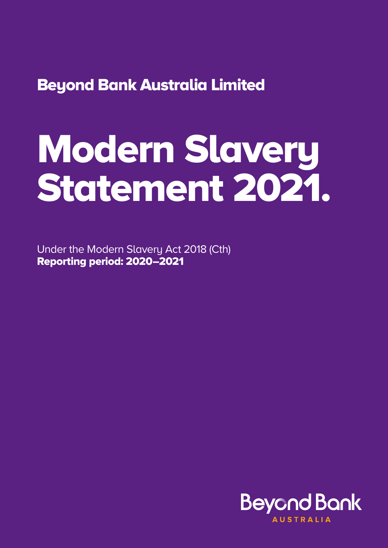2.. Structure. Beyond Bank Australia Limited

# Modern Slavery Statement 2021.

Under the Modern Slavery Act 2018 (Cth) Reporting period: 2020–2021

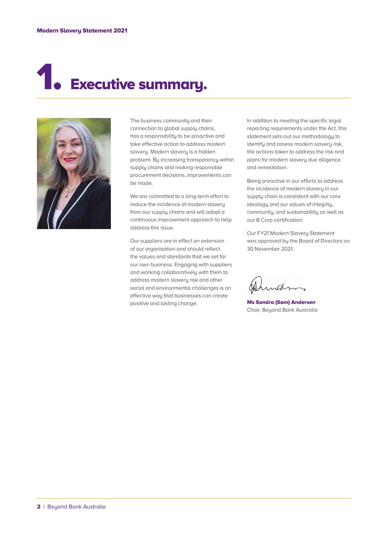## **Executive summary.**



The business community and their connection to global supply chains, has a responsibility to be proactive and take effective action to address modern slavery. Modern slavery is a hidden problem. By increasing transparency within supply chains and making responsible procurement decisions, improvements can be made.

We are committed to a long-term effort to reduce the incidence of modern slavery from our supply chains and will adopt a continuous improvement approach to help address this issue.

Our suppliers are in effect an extension of our organisation and should reflect the values and standards that we set for our own business. Engaging with suppliers and working collaboratively with them to address modern slavery risk and other social and environmental challenges is an effective way that businesses can create positive and lasting change.

In addition to meeting the specific legal reporting requirements under the Act, this statement sets out our methodology to identify and assess modern slavery risk, the actions taken to address the risk and plans for modern slavery due diligence and remediation.

Being proactive in our efforts to address the incidence of modern slavery in our supply chain is consistent with our core ideology and our values of integrity, community, and sustainability as well as our B Corp certification.

Our FY21 Modern Slavery Statement was approved by the Board of Directors on 30 November 2021.

Ms Sandra (Sam) Andersen Chair, Beyond Bank Australia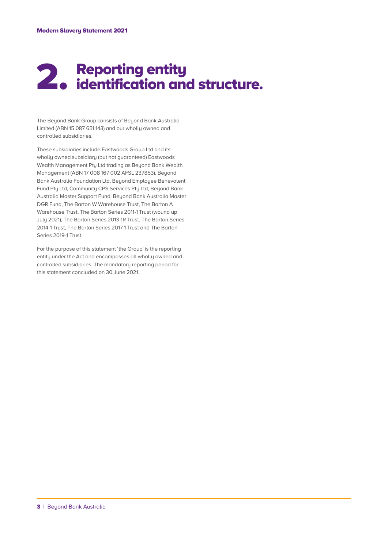#### 2.. Reporting entity identification and structure.

The Beyond Bank Group consists of Beyond Bank Australia Limited (ABN 15 087 651 143) and our wholly owned and controlled subsidiaries.

These subsidiaries include Eastwoods Group Ltd and its wholly owned subsidiary (but not guaranteed) Eastwoods Wealth Management Pty Ltd trading as Beyond Bank Wealth Management (ABN 17 008 167 002 AFSL 237853), Beyond Bank Australia Foundation Ltd, Beyond Employee Benevolent Fund Pty Ltd, Community CPS Services Pty Ltd, Beyond Bank Australia Master Support Fund, Beyond Bank Australia Master DGR Fund, The Barton W Warehouse Trust, The Barton A Warehouse Trust, The Barton Series 2011-1 Trust (wound up July 2021), The Barton Series 2013-1R Trust, The Barton Series 2014-1 Trust, The Barton Series 2017-1 Trust and The Barton Series 2019-1 Trust.

For the purpose of this statement 'the Group' is the reporting entity under the Act and encompasses all wholly owned and controlled subsidiaries. The mandatory reporting period for this statement concluded on 30 June 2021.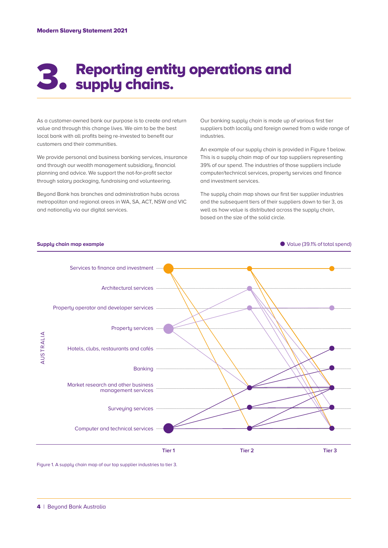### 3. Reporting entit Reporting entity operations and

As a customer-owned bank our purpose is to create and return value and through this change lives. We aim to be the best local bank with all profits being re-invested to benefit our customers and their communities.

We provide personal and business banking services, insurance and through our wealth management subsidiary, financial planning and advice. We support the not-for-profit sector through salary packaging, fundraising and volunteering.

Beyond Bank has branches and administration hubs across metropolitan and regional areas in WA, SA, ACT, NSW and VIC and nationally via our digital services.

Our banking supply chain is made up of various first tier suppliers both locally and foreign owned from a wide range of industries.

An example of our supply chain is provided in Figure 1 below. This is a supply chain map of our top suppliers representing 39% of our spend. The industries of those suppliers include computer/technical services, property services and finance and investment services.

The supply chain map shows our first tier supplier industries and the subsequent tiers of their suppliers down to tier 3, as well as how value is distributed across the supply chain, based on the size of the solid circle.



Figure 1. A supply chain map of our top supplier industries to tier 3.

#### 4| Beyond Bank Australia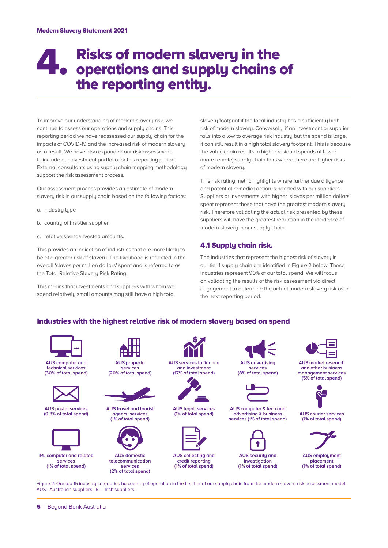#### 4.. Risks of modern slavery in the operations and supply chains of the reporting entity.

To improve our understanding of modern slavery risk, we continue to assess our operations and supply chains. This reporting period we have reassessed our supply chain for the impacts of COVID-19 and the increased risk of modern slavery as a result. We have also expanded our risk assessment to include our investment portfolio for this reporting period. External consultants using supply chain mapping methodology support the risk assessment process.

Our assessment process provides an estimate of modern slavery risk in our supply chain based on the following factors:

- a. industry type
- b. country of first-tier supplier
- c. relative spend/invested amounts.

This provides an indication of industries that are more likely to be at a greater risk of slavery. The likelihood is reflected in the overall 'slaves per million dollars' spent and is referred to as the Total Relative Slavery Risk Rating.

This means that investments and suppliers with whom we spend relatively small amounts may still have a high total slavery footprint if the local industry has a sufficiently high risk of modern slavery. Conversely, if an investment or supplier falls into a low to average risk industry but the spend is large, it can still result in a high total slavery footprint. This is because the value chain results in higher residual spends at lower (more remote) supply chain tiers where there are higher risks of modern slavery.

This risk rating metric highlights where further due diligence and potential remedial action is needed with our suppliers. Suppliers or investments with higher 'slaves per million dollars' spent represent those that have the greatest modern slavery risk. Therefore validating the actual risk presented by these suppliers will have the greatest reduction in the incidence of modern slavery in our supply chain.

#### 4.1 Supply chain risk.

The industries that represent the highest risk of slavery in our tier 1 supply chain are identified in Figure 2 below. These industries represent 90% of our total spend. We will focus on validating the results of the risk assessment via direct engagement to determine the actual modern slavery risk over the next reporting period.

#### Industries with the highest relative risk of modern slavery based on spend



**AUS computer and technical services (30% of total spend)**



**AUS postal services (0.3% of total spend)**



**IRL computer and related services (1% of total spend)**



**AUS property services (20% of total spend)**



**AUS travel and tourist agency services (1% of total spend)**



**AUS domestic telecommunication services (2% of total spend)**



**AUS services to finance and investment (17% of total spend)**



**AUS legal services (1% of total spend)**



**AUS collecting and credit reporting (1% of total spend)**

**AUS advertising services**

**(8% of total spend)**



**AUS computer & tech and advertising & business services (1% of total spend)**



**AUS security and investigation (1% of total spend)**



**AUS market research and other business management services (5% of total spend)**



**AUS courier services (1% of total spend)**



**AUS employment placement (1% of total spend)**

Figure 2. Our top 15 industry categories by country of operation in the first tier of our supply chain from the modern slavery risk assessment model. AUS - Australian suppliers, IRL - Irish suppliers.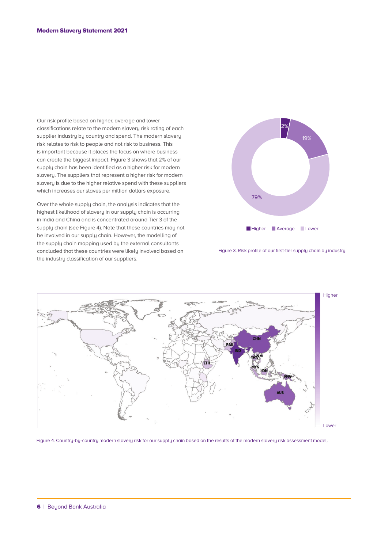Our risk profile based on higher, average and lower classifications relate to the modern slavery risk rating of each supplier industry by country and spend. The modern slavery risk relates to risk to people and not risk to business. This is important because it places the focus on where business can create the biggest impact. Figure 3 shows that 2% of our supply chain has been identified as a higher risk for modern slavery. The suppliers that represent a higher risk for modern slavery is due to the higher relative spend with these suppliers which increases our slaves per million dollars exposure.

Over the whole supply chain, the analysis indicates that the highest likelihood of slavery in our supply chain is occurring in India and China and is concentrated around Tier 3 of the supply chain (see Figure 4). Note that these countries may not be involved in our supply chain. However, the modelling of the supply chain mapping used by the external consultants concluded that these countries were likely involved based on the industry classification of our suppliers.



Figure 3. Risk profile of our first-tier supply chain by industry.



Figure 4. Country-by-country modern slavery risk for our supply chain based on the results of the modern slavery risk assessment model.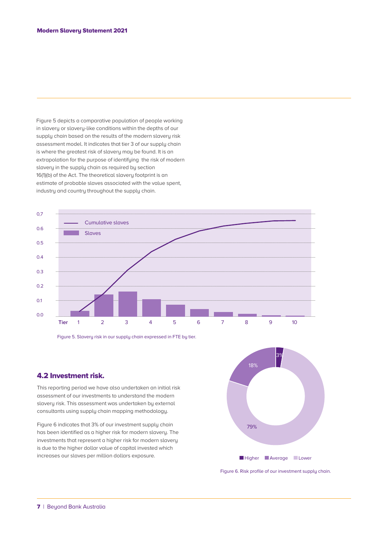Figure 5 depicts a comparative population of people working in slavery or slavery-like conditions within the depths of our supply chain based on the results of the modern slavery risk assessment model. It indicates that tier 3 of our supply chain is where the greatest risk of slavery may be found. It is an extrapolation for the purpose of identifying the risk of modern slavery in the supply chain as required by section 16(1)(b) of the Act. The theoretical slavery footprint is an estimate of probable slaves associated with the value spent, industry and country throughout the supply chain.



Figure 5. Slavery risk in our supply chain expressed in FTE by tier.

#### 4.2 Investment risk.

This reporting period we have also undertaken an initial risk assessment of our investments to understand the modern slavery risk. This assessment was undertaken by external consultants using supply chain mapping methodology.

Figure 6 indicates that 3% of our investment supply chain has been identified as a higher risk for modern slavery. The investments that represent a higher risk for modern slavery is due to the higher dollar value of capital invested which increases our slaves per million dollars exposure.



Figure 6. Risk profile of our investment supply chain.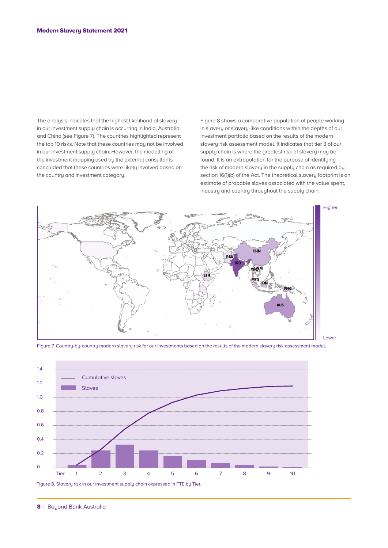The analysis indicates that the highest likelihood of slavery in our investment supply chain is occurring in India, Australia and China (see Figure 7). The countries highlighted represent the top 10 risks. Note that these countries may not be involved in our investment supply chain. However, the modelling of the investment mapping used by the external consultants concluded that these countries were likely involved based on the country and investment category.

Figure 8 shows a comparative population of people working in slavery or slavery-like conditions within the depths of our investment portfolio based on the results of the modern slavery risk assessment model. It indicates that tier 3 of our supply chain is where the greatest risk of slavery may be found. It is an extrapolation for the purpose of identifying the risk of modern slavery in the supply chain as required by section 16(1)(b) of the Act. The theoretical slavery footprint is an estimate of probable slaves associated with the value spent, industry and country throughout the supply chain.



Figure 7. Country-by-country modern slavery risk for our investments based on the results of the modern slavery risk assessment model.

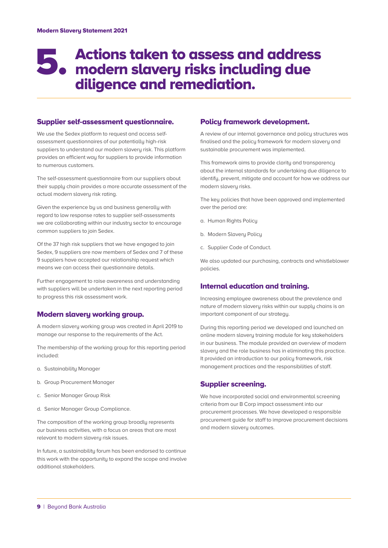#### 5.. Actions taken to assess and address modern slavery risks including due diligence and remediation.

#### Supplier self-assessment questionnaire.

We use the Sedex platform to request and access selfassessment questionnaires of our potentially high-risk suppliers to understand our modern slavery risk. This platform provides an efficient way for suppliers to provide information to numerous customers.

The self-assessment questionnaire from our suppliers about their supply chain provides a more accurate assessment of the actual modern slavery risk rating.

Given the experience by us and business generally with regard to low response rates to supplier self-assessments we are collaborating within our industry sector to encourage common suppliers to join Sedex.

Of the 37 high risk suppliers that we have engaged to join Sedex, 9 suppliers are now members of Sedex and 7 of these 9 suppliers have accepted our relationship request which means we can access their questionnaire details.

Further engagement to raise awareness and understanding with suppliers will be undertaken in the next reporting period to progress this risk assessment work.

#### Modern slavery working group.

A modern slavery working group was created in April 2019 to manage our response to the requirements of the Act.

The membership of the working group for this reporting period included:

- a. Sustainability Manager
- b. Group Procurement Manager
- c. Senior Manager Group Risk
- d. Senior Manager Group Compliance.

The composition of the working group broadly represents our business activities, with a focus on areas that are most relevant to modern slavery risk issues.

In future, a sustainability forum has been endorsed to continue this work with the opportunity to expand the scope and involve additional stakeholders.

#### Policy framework development.

A review of our internal governance and policy structures was finalised and the policy framework for modern slavery and sustainable procurement was implemented.

This framework aims to provide clarity and transparency about the internal standards for undertaking due diligence to identify, prevent, mitigate and account for how we address our modern slavery risks.

The key policies that have been approved and implemented over the period are:

- a. Human Rights Policy
- b. Modern Slavery Policy
- c. Supplier Code of Conduct.

We also updated our purchasing, contracts and whistleblower policies.

#### Internal education and training.

Increasing employee awareness about the prevalence and nature of modern slavery risks within our supply chains is an important component of our strategy.

During this reporting period we developed and launched an online modern slavery training module for key stakeholders in our business. The module provided an overview of modern slavery and the role business has in eliminating this practice. It provided an introduction to our policy framework, risk management practices and the responsibilities of staff.

#### Supplier screening.

We have incorporated social and environmental screening criteria from our B Corp impact assessment into our procurement processes. We have developed a responsible procurement guide for staff to improve procurement decisions and modern slavery outcomes.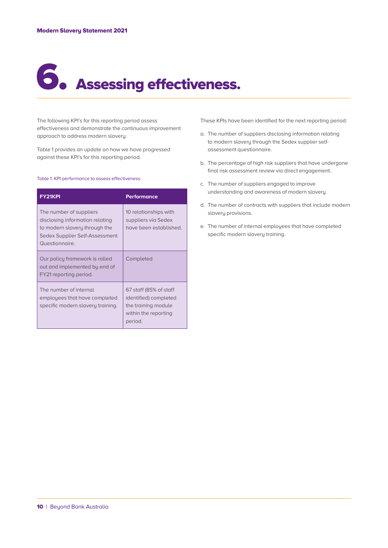## 6..Assessing effectiveness.

The following KPI's for this reporting period assess effectiveness and demonstrate the continuous improvement approach to address modern slavery.

Table 1 provides an update on how we have progressed against these KPI's for this reporting period.

#### Table 1. KPI performance to assess effectiveness.

| <b>FY21KPI</b>                                                                                                                                  | Performance                                                                                               |
|-------------------------------------------------------------------------------------------------------------------------------------------------|-----------------------------------------------------------------------------------------------------------|
| The number of suppliers<br>disclosing information relating<br>to modern slavery through the<br>Sedex Supplier Self-Assessment<br>Questionnaire. | 10 relationships with<br>suppliers via Sedex<br>have been established.                                    |
| Our policy framework is rolled<br>out and implemented by end of<br>FY21 reporting period.                                                       | Completed                                                                                                 |
| The number of internal<br>employees that have completed<br>specific modern slavery training.                                                    | 67 staff (85% of staff<br>identified) completed<br>the training module<br>within the reporting<br>period. |

These KPIs have been identified for the next reporting period:

- a. The number of suppliers disclosing information relating to modern slavery through the Sedex supplier selfassessment questionnaire.
- b. The percentage of high risk suppliers that have undergone final risk assessment review via direct engagement.
- c. The number of suppliers engaged to improve understanding and awareness of modern slavery.
- d. The number of contracts with suppliers that include modern slavery provisions.
- e. The number of internal employees that have completed specific modern slavery training.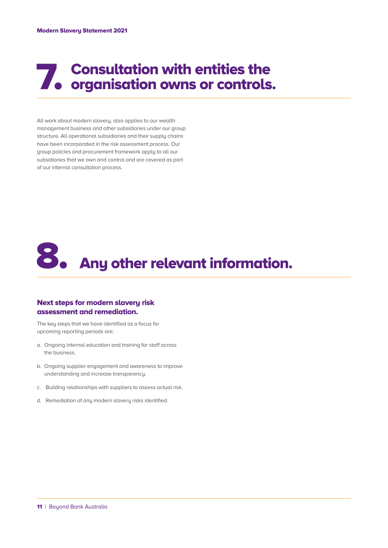### **7. Consultation with entities the organisation owns or controls.** organisation owns or controls.

All work about modern slavery, also applies to our wealth management business and other subsidiaries under our group structure. All operational subsidiaries and their supply chains have been incorporated in the risk assessment process. Our group policies and procurement framework apply to all our subsidiaries that we own and control and are covered as part of our internal consultation process.



#### Next steps for modern slavery risk assessment and remediation.

The key steps that we have identified as a focus for upcoming reporting periods are:

- a. Ongoing internal education and training for staff across the business.
- b. Ongoing supplier engagement and awareness to improve understanding and increase transparency.
- c. Building relationships with suppliers to assess actual risk.
- d. Remediation of any modern slavery risks identified.